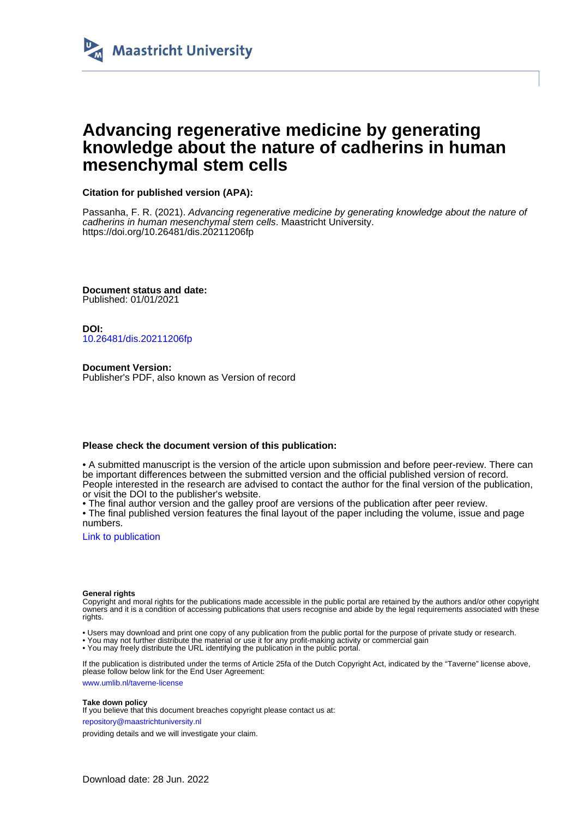

# **Advancing regenerative medicine by generating knowledge about the nature of cadherins in human mesenchymal stem cells**

**Citation for published version (APA):**

Passanha, F. R. (2021). Advancing regenerative medicine by generating knowledge about the nature of cadherins in human mesenchymal stem cells. Maastricht University. <https://doi.org/10.26481/dis.20211206fp>

**Document status and date:** Published: 01/01/2021

**DOI:** [10.26481/dis.20211206fp](https://doi.org/10.26481/dis.20211206fp)

**Document Version:** Publisher's PDF, also known as Version of record

#### **Please check the document version of this publication:**

• A submitted manuscript is the version of the article upon submission and before peer-review. There can be important differences between the submitted version and the official published version of record. People interested in the research are advised to contact the author for the final version of the publication, or visit the DOI to the publisher's website.

• The final author version and the galley proof are versions of the publication after peer review.

• The final published version features the final layout of the paper including the volume, issue and page numbers.

[Link to publication](https://cris.maastrichtuniversity.nl/en/publications/724bfa9d-012c-48fe-8cb8-f79b3aedd6c2)

#### **General rights**

Copyright and moral rights for the publications made accessible in the public portal are retained by the authors and/or other copyright owners and it is a condition of accessing publications that users recognise and abide by the legal requirements associated with these rights.

- Users may download and print one copy of any publication from the public portal for the purpose of private study or research.
- You may not further distribute the material or use it for any profit-making activity or commercial gain
- You may freely distribute the URL identifying the publication in the public portal.

If the publication is distributed under the terms of Article 25fa of the Dutch Copyright Act, indicated by the "Taverne" license above, please follow below link for the End User Agreement:

www.umlib.nl/taverne-license

#### **Take down policy**

If you believe that this document breaches copyright please contact us at:

repository@maastrichtuniversity.nl

providing details and we will investigate your claim.